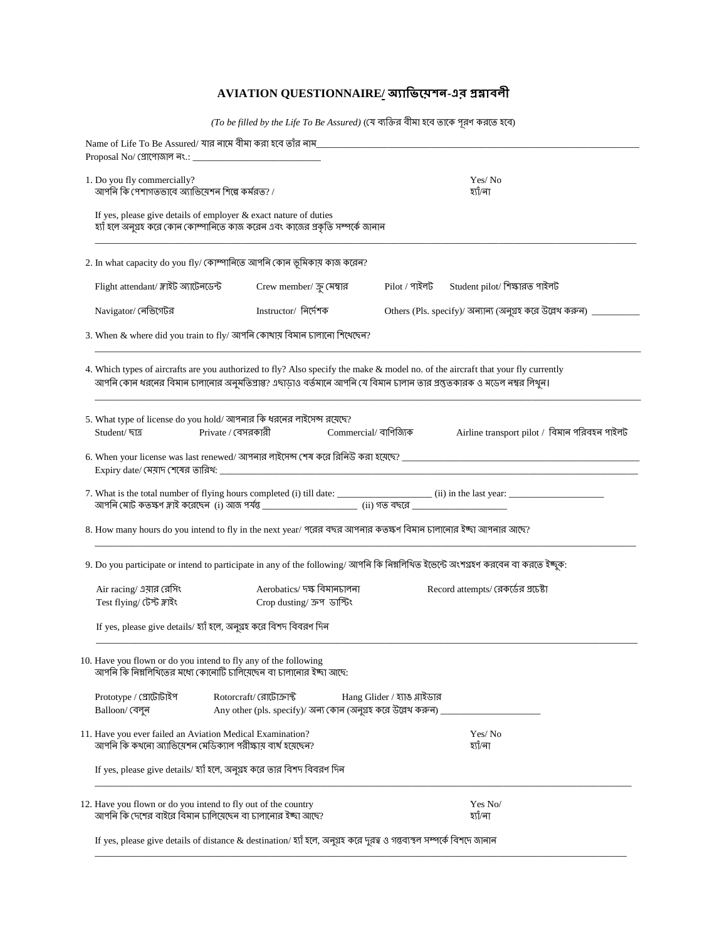## **AVIATION QUESTIONNAIRE/ -এর**

 $\left( To\ be\ filled\ by\ the\ Life\ To\ Be\ Associated\ \left( (\text{J} \text{J})\ \text{J} \right)$  ন্যক্তির বীমা হবে তাকে পূরণ করতে হবে)

| Name of Life To Be Assured/ যার নামে বীমা করা হবে তাঁর নাম_<br>Proposal No/ গ্রোপোজাল নং.:                                                            | <u> 1989 - Johann Barbara, martxa alemaniar a</u>            |                                                                                                                                                                                                                                                           |  |
|-------------------------------------------------------------------------------------------------------------------------------------------------------|--------------------------------------------------------------|-----------------------------------------------------------------------------------------------------------------------------------------------------------------------------------------------------------------------------------------------------------|--|
| 1. Do you fly commercially?<br>আপনি কি পেশাগতভাবে অ্যাভিয়েশন শিল্পে কর্মরত? /                                                                        |                                                              | Yes/No<br>হ্যাঁ⁄না                                                                                                                                                                                                                                        |  |
| If yes, please give details of employer $\&$ exact nature of duties<br>হ্যাঁ হলে অনুগ্রহ করে কোন কোম্পানিতে কাজ করেন এবং কাজের প্রকৃতি সম্পর্কে জানান |                                                              |                                                                                                                                                                                                                                                           |  |
| 2. In what capacity do you fly/ কোম্পানিতে আপনি কোন ভূমিকায় কাজ করেন?                                                                                |                                                              |                                                                                                                                                                                                                                                           |  |
| Flight attendant/ স্লাইট অ্যাটেনডেন্ট                                                                                                                 | Crew member/ ক্লু মেম্বার                                    | Student pilot/ শিক্ষারত পাইলট<br>$Pilot / 9$ ৰ্যইলট                                                                                                                                                                                                       |  |
| Navigator/ নেভিগেটর                                                                                                                                   | Instructor/ নিৰ্দেশক                                         | Others (Pls. specify)/ অন্যান্য (অনুগ্ৰহ করে উল্লেখ করুন)                                                                                                                                                                                                 |  |
| 3. When & where did you train to fly/ আপনি কোখায় বিমান চালানো শিথেছেন?                                                                               |                                                              |                                                                                                                                                                                                                                                           |  |
|                                                                                                                                                       |                                                              | 4. Which types of aircrafts are you authorized to fly? Also specify the make & model no. of the aircraft that your fly currently<br>আপনি কোন ধরনের বিমান ঢালানোর অনুমতিপ্রাপ্ত? এঘাড়াও বর্তমানে আপনি যে বিমান ঢালান তার প্রস্তুতকারক ও মডেল নম্বর লিখুন। |  |
| 5. What type of license do you hold/ আপনার কি ধরনের লাইসেন্স রয়েছে?<br>Student/ ছাত্র                                                                | Private / বেসরকারী                                           | Commercial/ বাণিজ্যিক<br>Airline transport pilot / বিমান পরিবহন পাইলট                                                                                                                                                                                     |  |
| $Expiry$ date/ মেয়াদ শেষের তারিখ:                                                                                                                    |                                                              | <u> 1980 - Jan James James School (f. 1980)</u>                                                                                                                                                                                                           |  |
|                                                                                                                                                       |                                                              |                                                                                                                                                                                                                                                           |  |
|                                                                                                                                                       |                                                              |                                                                                                                                                                                                                                                           |  |
|                                                                                                                                                       |                                                              | 8. How many hours do you intend to fly in the next year/ পরের বছর আপনার কতক্ষণ বিমান ঢালানোর ইচ্ছা আপনার আছে?                                                                                                                                             |  |
|                                                                                                                                                       |                                                              | 9. Do you participate or intend to participate in any of the following/ আপনি কি নিম্নলিখিত ইতেন্টে অংশগ্ৰহণ করবেন বা করতে ইচ্ছুক:                                                                                                                         |  |
| Air racing/ এয়ার রেসিং<br>Test flying/ টেস্ট ফ্লাইং                                                                                                  | Aerobatics/ দক্ষ বিমানচালনা<br>Crop dusting/ ক্ৰপ ডাল্টিং    | Record attempts/ রেকর্ডের প্রচেষ্টা                                                                                                                                                                                                                       |  |
| If yes, please give details/ হ্যাঁ হলে, অনুগ্ৰহ করে বিশদ বিবরণ দিন                                                                                    |                                                              |                                                                                                                                                                                                                                                           |  |
| 10. Have you flown or do you intend to fly any of the following<br>আপনি কি নিম্নলিখিতের মধ্যে কোনোটি চালিয়েছেন বা চালানোর ইচ্ছা আছে:                 |                                                              |                                                                                                                                                                                                                                                           |  |
| Prototype / প্রোটোটাইপ                                                                                                                                | Rotorcraft/ রোটোক্রাস্ট                                      | Hang Glider / হ্যাঙ গ্লাইডার                                                                                                                                                                                                                              |  |
| Balloon/ বেলুন                                                                                                                                        | Any other (pls. specify)/ অন্য কোন (অনুগ্ৰহ করে উল্লেখ করুন) |                                                                                                                                                                                                                                                           |  |
| 11. Have you ever failed an Aviation Medical Examination?<br>আপনি কি কথনো অ্যাভিয়েশন মেডিক্যাল পরীক্ষায় ব্যর্থ হয়েছেন?                             |                                                              | Yes/No<br>হ্যাঁ⁄না                                                                                                                                                                                                                                        |  |
| If yes, please give details/ হ্যাঁ হলে, অনুগ্রহ করে তার বিশদ বিবরণ দিন                                                                                |                                                              |                                                                                                                                                                                                                                                           |  |
| 12. Have you flown or do you intend to fly out of the country<br>আপনি কি দেশের বাইরে বিমান চালিয়েছেন বা চালানোর ইচ্ছা আছে?                           |                                                              | Yes No/<br>হ্যাঁ⁄না                                                                                                                                                                                                                                       |  |
| If yes, please give details of distance & destination/ হাাঁ হলে, অনুগ্ৰহ করে দুরত্ব ও গন্তব্যস্থল সম্পর্কে বিশদে জানান                                |                                                              |                                                                                                                                                                                                                                                           |  |

\_\_\_\_\_\_\_\_\_\_\_\_\_\_\_\_\_\_\_\_\_\_\_\_\_\_\_\_\_\_\_\_\_\_\_\_\_\_\_\_\_\_\_\_\_\_\_\_\_\_\_\_\_\_\_\_\_\_\_\_\_\_\_\_\_\_\_\_\_\_\_\_\_\_\_\_\_\_\_\_\_\_\_\_\_\_\_\_\_\_\_\_\_\_\_\_\_\_\_\_\_\_\_\_\_\_\_\_\_\_\_\_